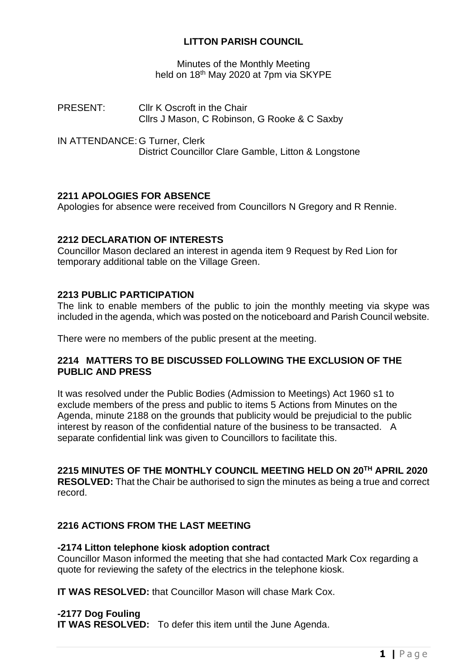# **LITTON PARISH COUNCIL**

Minutes of the Monthly Meeting held on 18<sup>th</sup> May 2020 at 7pm via SKYPE

- PRESENT: Cllr K Oscroft in the Chair Cllrs J Mason, C Robinson, G Rooke & C Saxby
- IN ATTENDANCE: G Turner, Clerk District Councillor Clare Gamble, Litton & Longstone

## **2211 APOLOGIES FOR ABSENCE**

Apologies for absence were received from Councillors N Gregory and R Rennie.

## **2212 DECLARATION OF INTERESTS**

Councillor Mason declared an interest in agenda item 9 Request by Red Lion for temporary additional table on the Village Green.

## **2213 PUBLIC PARTICIPATION**

The link to enable members of the public to join the monthly meeting via skype was included in the agenda, which was posted on the noticeboard and Parish Council website.

There were no members of the public present at the meeting.

## **2214 MATTERS TO BE DISCUSSED FOLLOWING THE EXCLUSION OF THE PUBLIC AND PRESS**

It was resolved under the Public Bodies (Admission to Meetings) Act 1960 s1 to exclude members of the press and public to items 5 Actions from Minutes on the Agenda, minute 2188 on the grounds that publicity would be prejudicial to the public interest by reason of the confidential nature of the business to be transacted. A separate confidential link was given to Councillors to facilitate this.

# **2215 MINUTES OF THE MONTHLY COUNCIL MEETING HELD ON 20TH APRIL 2020**

**RESOLVED:** That the Chair be authorised to sign the minutes as being a true and correct record.

## **2216 ACTIONS FROM THE LAST MEETING**

## **-2174 Litton telephone kiosk adoption contract**

Councillor Mason informed the meeting that she had contacted Mark Cox regarding a quote for reviewing the safety of the electrics in the telephone kiosk.

**IT WAS RESOLVED:** that Councillor Mason will chase Mark Cox.

## **-2177 Dog Fouling**

**IT WAS RESOLVED:** To defer this item until the June Agenda.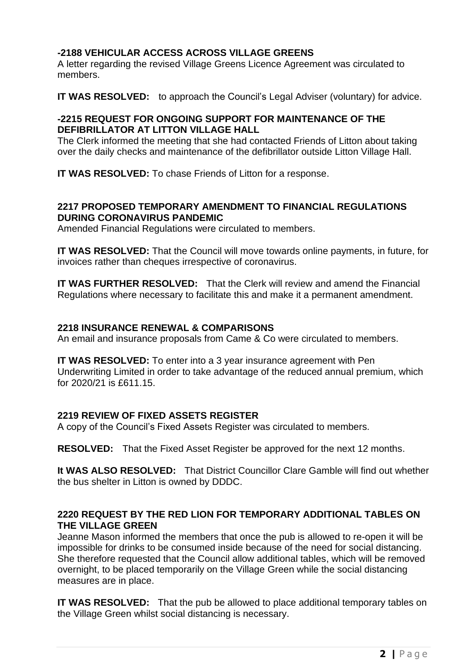# **-2188 VEHICULAR ACCESS ACROSS VILLAGE GREENS**

A letter regarding the revised Village Greens Licence Agreement was circulated to members.

**IT WAS RESOLVED:** to approach the Council's Legal Adviser (voluntary) for advice.

## **-2215 REQUEST FOR ONGOING SUPPORT FOR MAINTENANCE OF THE DEFIBRILLATOR AT LITTON VILLAGE HALL**

The Clerk informed the meeting that she had contacted Friends of Litton about taking over the daily checks and maintenance of the defibrillator outside Litton Village Hall.

**IT WAS RESOLVED:** To chase Friends of Litton for a response.

## **2217 PROPOSED TEMPORARY AMENDMENT TO FINANCIAL REGULATIONS DURING CORONAVIRUS PANDEMIC**

Amended Financial Regulations were circulated to members.

**IT WAS RESOLVED:** That the Council will move towards online payments, in future, for invoices rather than cheques irrespective of coronavirus.

**IT WAS FURTHER RESOLVED:** That the Clerk will review and amend the Financial Regulations where necessary to facilitate this and make it a permanent amendment.

## **2218 INSURANCE RENEWAL & COMPARISONS**

An email and insurance proposals from Came & Co were circulated to members.

**IT WAS RESOLVED:** To enter into a 3 year insurance agreement with Pen Underwriting Limited in order to take advantage of the reduced annual premium, which for 2020/21 is £611.15.

# **2219 REVIEW OF FIXED ASSETS REGISTER**

A copy of the Council's Fixed Assets Register was circulated to members.

**RESOLVED:** That the Fixed Asset Register be approved for the next 12 months.

**It WAS ALSO RESOLVED:** That District Councillor Clare Gamble will find out whether the bus shelter in Litton is owned by DDDC.

## **2220 REQUEST BY THE RED LION FOR TEMPORARY ADDITIONAL TABLES ON THE VILLAGE GREEN**

Jeanne Mason informed the members that once the pub is allowed to re-open it will be impossible for drinks to be consumed inside because of the need for social distancing. She therefore requested that the Council allow additional tables, which will be removed overnight, to be placed temporarily on the Village Green while the social distancing measures are in place.

**IT WAS RESOLVED:** That the pub be allowed to place additional temporary tables on the Village Green whilst social distancing is necessary.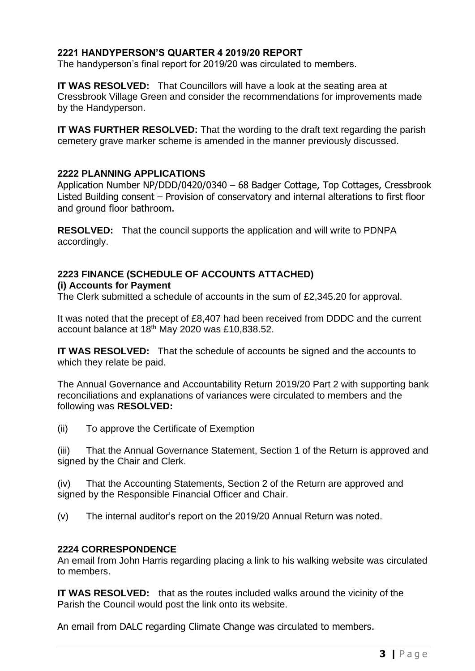# **2221 HANDYPERSON'S QUARTER 4 2019/20 REPORT**

The handyperson's final report for 2019/20 was circulated to members.

**IT WAS RESOLVED:** That Councillors will have a look at the seating area at Cressbrook Village Green and consider the recommendations for improvements made by the Handyperson.

**IT WAS FURTHER RESOLVED:** That the wording to the draft text regarding the parish cemetery grave marker scheme is amended in the manner previously discussed.

## **2222 PLANNING APPLICATIONS**

Application Number NP/DDD/0420/0340 – 68 Badger Cottage, Top Cottages, Cressbrook Listed Building consent – Provision of conservatory and internal alterations to first floor and ground floor bathroom.

**RESOLVED:** That the council supports the application and will write to PDNPA accordingly.

#### **2223 FINANCE (SCHEDULE OF ACCOUNTS ATTACHED) (i) Accounts for Payment**

The Clerk submitted a schedule of accounts in the sum of £2,345.20 for approval.

It was noted that the precept of £8,407 had been received from DDDC and the current account balance at 18<sup>th</sup> May 2020 was £10,838.52.

**IT WAS RESOLVED:** That the schedule of accounts be signed and the accounts to which they relate be paid.

The Annual Governance and Accountability Return 2019/20 Part 2 with supporting bank reconciliations and explanations of variances were circulated to members and the following was **RESOLVED:**

(ii) To approve the Certificate of Exemption

(iii) That the Annual Governance Statement, Section 1 of the Return is approved and signed by the Chair and Clerk.

(iv) That the Accounting Statements, Section 2 of the Return are approved and signed by the Responsible Financial Officer and Chair.

(v) The internal auditor's report on the 2019/20 Annual Return was noted.

## **2224 CORRESPONDENCE**

An email from John Harris regarding placing a link to his walking website was circulated to members.

**IT WAS RESOLVED:** that as the routes included walks around the vicinity of the Parish the Council would post the link onto its website.

An email from DALC regarding Climate Change was circulated to members.